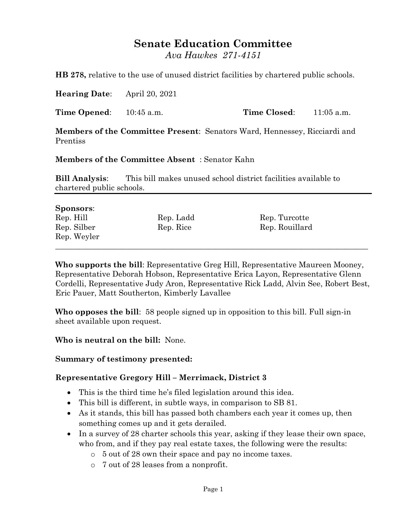# **Senate Education Committee**

*Ava Hawkes 271-4151*

**HB 278,** relative to the use of unused district facilities by chartered public schools.

**Hearing Date**: April 20, 2021

**Time Opened:** 10:45 a.m. **Time Closed:** 11:05 a.m.

**Members of the Committee Present**: Senators Ward, Hennessey, Ricciardi and Prentiss

**Members of the Committee Absent** : Senator Kahn

**Bill Analysis**: This bill makes unused school district facilities available to chartered public schools.

#### **Sponsors**:

| Rep. Hill   | Rep. Ladd | Rep. Turcotte  |  |
|-------------|-----------|----------------|--|
| Rep. Silber | Rep. Rice | Rep. Rouillard |  |
| Rep. Weyler |           |                |  |
|             |           |                |  |

**Who supports the bill**: Representative Greg Hill, Representative Maureen Mooney, Representative Deborah Hobson, Representative Erica Layon, Representative Glenn Cordelli, Representative Judy Aron, Representative Rick Ladd, Alvin See, Robert Best, Eric Pauer, Matt Southerton, Kimberly Lavallee

**Who opposes the bill**: 58 people signed up in opposition to this bill. Full sign-in sheet available upon request.

**Who is neutral on the bill:** None.

#### **Summary of testimony presented:**

### **Representative Gregory Hill – Merrimack, District 3**

- This is the third time he's filed legislation around this idea.
- This bill is different, in subtle ways, in comparison to SB 81.
- As it stands, this bill has passed both chambers each year it comes up, then something comes up and it gets derailed.
- In a survey of 28 charter schools this year, asking if they lease their own space, who from, and if they pay real estate taxes, the following were the results:
	- o 5 out of 28 own their space and pay no income taxes.
	- o 7 out of 28 leases from a nonprofit.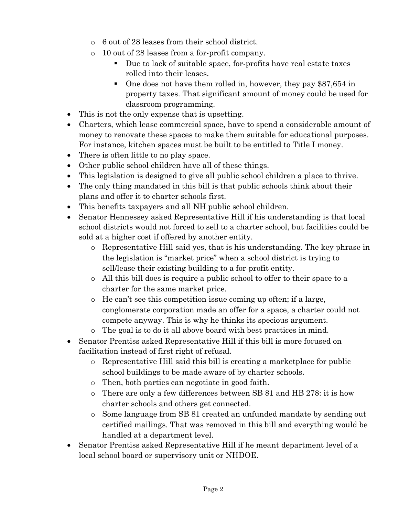- o 6 out of 28 leases from their school district.
- o 10 out of 28 leases from a for-profit company.
	- Due to lack of suitable space, for-profits have real estate taxes rolled into their leases.
	- One does not have them rolled in, however, they pay \$87,654 in property taxes. That significant amount of money could be used for classroom programming.
- This is not the only expense that is upsetting.
- Charters, which lease commercial space, have to spend a considerable amount of money to renovate these spaces to make them suitable for educational purposes. For instance, kitchen spaces must be built to be entitled to Title I money.
- There is often little to no play space.
- Other public school children have all of these things.
- This legislation is designed to give all public school children a place to thrive.
- The only thing mandated in this bill is that public schools think about their plans and offer it to charter schools first.
- This benefits taxpayers and all NH public school children.
- Senator Hennessey asked Representative Hill if his understanding is that local school districts would not forced to sell to a charter school, but facilities could be sold at a higher cost if offered by another entity.
	- o Representative Hill said yes, that is his understanding. The key phrase in the legislation is "market price" when a school district is trying to sell/lease their existing building to a for-profit entity.
	- o All this bill does is require a public school to offer to their space to a charter for the same market price.
	- o He can't see this competition issue coming up often; if a large, conglomerate corporation made an offer for a space, a charter could not compete anyway. This is why he thinks its specious argument.
	- o The goal is to do it all above board with best practices in mind.
- Senator Prentiss asked Representative Hill if this bill is more focused on facilitation instead of first right of refusal.
	- o Representative Hill said this bill is creating a marketplace for public school buildings to be made aware of by charter schools.
	- o Then, both parties can negotiate in good faith.
	- o There are only a few differences between SB 81 and HB 278: it is how charter schools and others get connected.
	- o Some language from SB 81 created an unfunded mandate by sending out certified mailings. That was removed in this bill and everything would be handled at a department level.
- Senator Prentiss asked Representative Hill if he meant department level of a local school board or supervisory unit or NHDOE.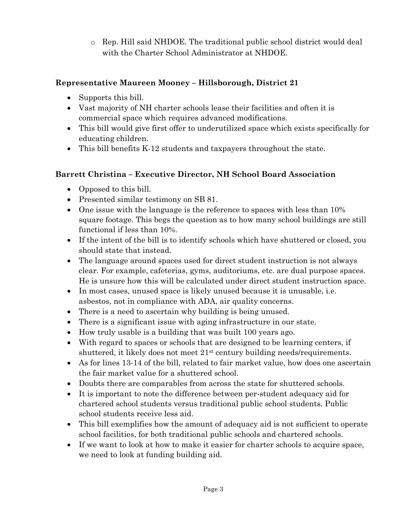o Rep. Hill said NHDOE. The traditional public school district would deal with the Charter School Administrator at NHDOE.

## **Representative Maureen Mooney – Hillsborough, District 21**

- Supports this bill.
- Vast majority of NH charter schools lease their facilities and often it is commercial space which requires advanced modifications.
- This bill would give first offer to underutilized space which exists specifically for educating children.
- This bill benefits K-12 students and taxpayers throughout the state.

### **Barrett Christina – Executive Director, NH School Board Association**

- Opposed to this bill.
- Presented similar testimony on SB 81.
- One issue with the language is the reference to spaces with less than 10% square footage. This begs the question as to how many school buildings are still functional if less than 10%.
- If the intent of the bill is to identify schools which have shuttered or closed, you should state that instead.
- The language around spaces used for direct student instruction is not always clear. For example, cafeterias, gyms, auditoriums, etc. are dual purpose spaces. He is unsure how this will be calculated under direct student instruction space.
- In most cases, unused space is likely unused because it is unusable, i.e. asbestos, not in compliance with ADA, air quality concerns.
- There is a need to ascertain why building is being unused.
- There is a significant issue with aging infrastructure in our state.
- How truly usable is a building that was built 100 years ago.
- With regard to spaces or schools that are designed to be learning centers, if shuttered, it likely does not meet 21st century building needs/requirements.
- As for lines 13-14 of the bill, related to fair market value, how does one ascertain the fair market value for a shuttered school.
- Doubts there are comparables from across the state for shuttered schools.
- It is important to note the difference between per-student adequacy aid for chartered school students versus traditional public school students. Public school students receive less aid.
- This bill exemplifies how the amount of adequacy aid is not sufficient to operate school facilities, for both traditional public schools and chartered schools.
- If we want to look at how to make it easier for charter schools to acquire space, we need to look at funding building aid.